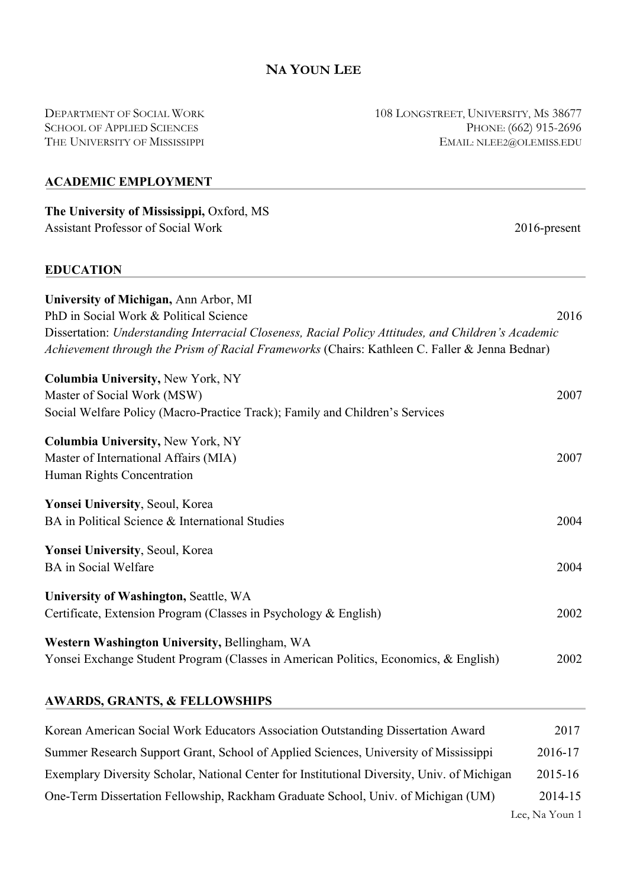| <b>DEPARTMENT OF SOCIAL WORK</b><br><b>SCHOOL OF APPLIED SCIENCES</b><br>THE UNIVERSITY OF MISSISSIPPI                                                                                                                                                                                   | 108 LONGSTREET, UNIVERSITY, MS 38677<br>PHONE: (662) 915-2696<br>EMAIL: NLEE2@OLEMISS.EDU |  |
|------------------------------------------------------------------------------------------------------------------------------------------------------------------------------------------------------------------------------------------------------------------------------------------|-------------------------------------------------------------------------------------------|--|
| <b>ACADEMIC EMPLOYMENT</b>                                                                                                                                                                                                                                                               |                                                                                           |  |
| The University of Mississippi, Oxford, MS<br><b>Assistant Professor of Social Work</b>                                                                                                                                                                                                   | 2016-present                                                                              |  |
| <b>EDUCATION</b>                                                                                                                                                                                                                                                                         |                                                                                           |  |
| University of Michigan, Ann Arbor, MI<br>PhD in Social Work & Political Science<br>Dissertation: Understanding Interracial Closeness, Racial Policy Attitudes, and Children's Academic<br>Achievement through the Prism of Racial Frameworks (Chairs: Kathleen C. Faller & Jenna Bednar) | 2016                                                                                      |  |
| <b>Columbia University, New York, NY</b><br>Master of Social Work (MSW)<br>Social Welfare Policy (Macro-Practice Track); Family and Children's Services                                                                                                                                  | 2007                                                                                      |  |
| <b>Columbia University, New York, NY</b><br>Master of International Affairs (MIA)<br><b>Human Rights Concentration</b>                                                                                                                                                                   | 2007                                                                                      |  |
| Yonsei University, Seoul, Korea<br>BA in Political Science & International Studies                                                                                                                                                                                                       | 2004                                                                                      |  |
| <b>Yonsei University, Seoul, Korea</b><br><b>BA</b> in Social Welfare                                                                                                                                                                                                                    | 2004                                                                                      |  |
| <b>University of Washington, Seattle, WA</b><br>Certificate, Extension Program (Classes in Psychology & English)                                                                                                                                                                         | 2002                                                                                      |  |
| Western Washington University, Bellingham, WA<br>Yonsei Exchange Student Program (Classes in American Politics, Economics, & English)                                                                                                                                                    | 2002                                                                                      |  |

**NA YOUN LEE**

# **AWARDS, GRANTS, & FELLOWSHIPS**

| Korean American Social Work Educators Association Outstanding Dissertation Award            | 2017    |
|---------------------------------------------------------------------------------------------|---------|
| Summer Research Support Grant, School of Applied Sciences, University of Mississippi        | 2016-17 |
| Exemplary Diversity Scholar, National Center for Institutional Diversity, Univ. of Michigan | 2015-16 |
| One-Term Dissertation Fellowship, Rackham Graduate School, Univ. of Michigan (UM)           | 2014-15 |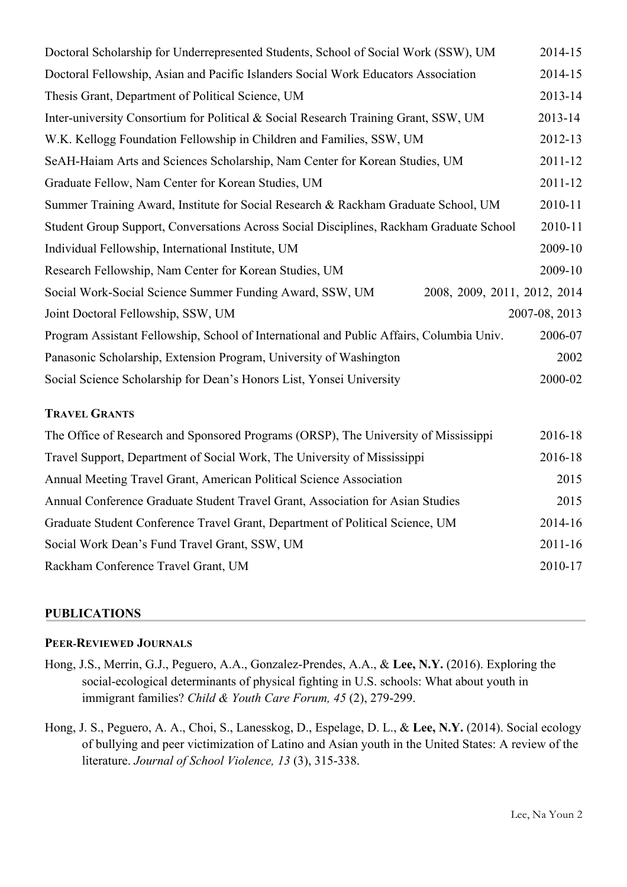| Doctoral Scholarship for Underrepresented Students, School of Social Work (SSW), UM      |               |
|------------------------------------------------------------------------------------------|---------------|
| Doctoral Fellowship, Asian and Pacific Islanders Social Work Educators Association       | 2014-15       |
| Thesis Grant, Department of Political Science, UM                                        | 2013-14       |
| Inter-university Consortium for Political & Social Research Training Grant, SSW, UM      | 2013-14       |
| W.K. Kellogg Foundation Fellowship in Children and Families, SSW, UM                     | 2012-13       |
| SeAH-Haiam Arts and Sciences Scholarship, Nam Center for Korean Studies, UM              | 2011-12       |
| Graduate Fellow, Nam Center for Korean Studies, UM                                       | 2011-12       |
| Summer Training Award, Institute for Social Research & Rackham Graduate School, UM       | 2010-11       |
| Student Group Support, Conversations Across Social Disciplines, Rackham Graduate School  | 2010-11       |
| Individual Fellowship, International Institute, UM                                       | 2009-10       |
| Research Fellowship, Nam Center for Korean Studies, UM                                   | 2009-10       |
| Social Work-Social Science Summer Funding Award, SSW, UM<br>2008, 2009, 2011, 2012, 2014 |               |
| Joint Doctoral Fellowship, SSW, UM                                                       | 2007-08, 2013 |
| Program Assistant Fellowship, School of International and Public Affairs, Columbia Univ. | 2006-07       |
| Panasonic Scholarship, Extension Program, University of Washington                       | 2002          |
| Social Science Scholarship for Dean's Honors List, Yonsei University                     | 2000-02       |

# **TRAVEL GRANTS**

| The Office of Research and Sponsored Programs (ORSP), The University of Mississippi | 2016-18     |
|-------------------------------------------------------------------------------------|-------------|
| Travel Support, Department of Social Work, The University of Mississippi            | 2016-18     |
| Annual Meeting Travel Grant, American Political Science Association                 | 2015        |
| Annual Conference Graduate Student Travel Grant, Association for Asian Studies      | 2015        |
| Graduate Student Conference Travel Grant, Department of Political Science, UM       | 2014-16     |
| Social Work Dean's Fund Travel Grant, SSW, UM                                       | $2011 - 16$ |
| Rackham Conference Travel Grant, UM                                                 | 2010-17     |

# **PUBLICATIONS**

#### **PEER-REVIEWED JOURNALS**

- Hong, J.S., Merrin, G.J., Peguero, A.A., Gonzalez-Prendes, A.A., & **Lee, N.Y.** (2016). Exploring the social-ecological determinants of physical fighting in U.S. schools: What about youth in immigrant families? *Child & Youth Care Forum, 45* (2), 279-299.
- Hong, J. S., Peguero, A. A., Choi, S., Lanesskog, D., Espelage, D. L., & **Lee, N.Y.** (2014). Social ecology of bullying and peer victimization of Latino and Asian youth in the United States: A review of the literature. *Journal of School Violence, 13* (3), 315-338.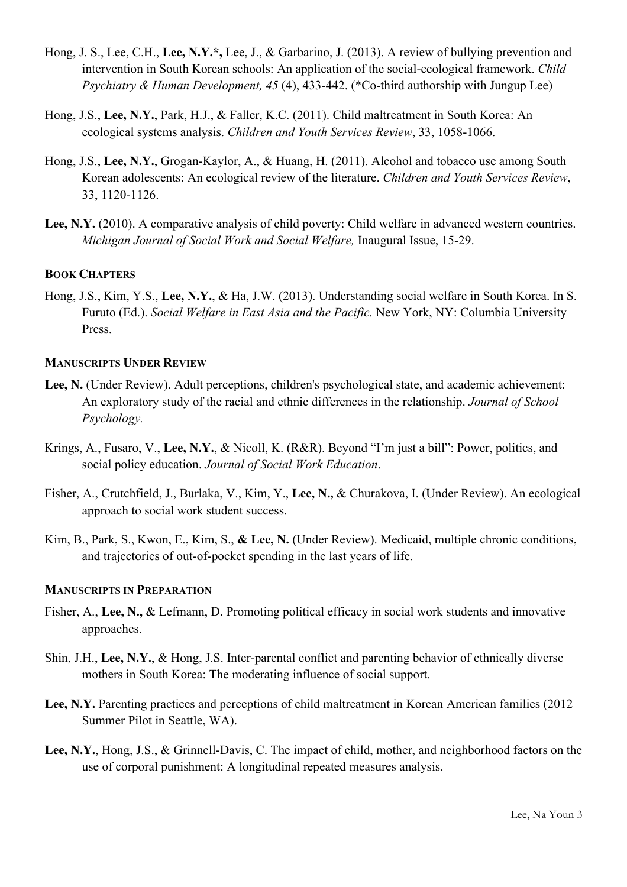- Hong, J. S., Lee, C.H., **Lee, N.Y.\*,** Lee, J., & Garbarino, J. (2013). A review of bullying prevention and intervention in South Korean schools: An application of the social-ecological framework. *Child Psychiatry & Human Development, 45* (4), 433-442. (\*Co-third authorship with Jungup Lee)
- Hong, J.S., **Lee, N.Y.**, Park, H.J., & Faller, K.C. (2011). Child maltreatment in South Korea: An ecological systems analysis. *Children and Youth Services Review*, 33, 1058-1066.
- Hong, J.S., **Lee, N.Y.**, Grogan-Kaylor, A., & Huang, H. (2011). Alcohol and tobacco use among South Korean adolescents: An ecological review of the literature. *Children and Youth Services Review*, 33, 1120-1126.
- **Lee, N.Y.** (2010). A comparative analysis of child poverty: Child welfare in advanced western countries. *Michigan Journal of Social Work and Social Welfare,* Inaugural Issue, 15-29.

# **BOOK CHAPTERS**

Hong, J.S., Kim, Y.S., **Lee, N.Y.**, & Ha, J.W. (2013). Understanding social welfare in South Korea. In S. Furuto (Ed.). *Social Welfare in East Asia and the Pacific.* New York, NY: Columbia University Press.

### **MANUSCRIPTS UNDER REVIEW**

- Lee, N. (Under Review). Adult perceptions, children's psychological state, and academic achievement: An exploratory study of the racial and ethnic differences in the relationship. *Journal of School Psychology.*
- Krings, A., Fusaro, V., **Lee, N.Y.**, & Nicoll, K. (R&R). Beyond "I'm just a bill": Power, politics, and social policy education. *Journal of Social Work Education*.
- Fisher, A., Crutchfield, J., Burlaka, V., Kim, Y., **Lee, N.,** & Churakova, I. (Under Review). An ecological approach to social work student success.
- Kim, B., Park, S., Kwon, E., Kim, S., **& Lee, N.** (Under Review). Medicaid, multiple chronic conditions, and trajectories of out-of-pocket spending in the last years of life.

#### **MANUSCRIPTS IN PREPARATION**

- Fisher, A., Lee, N., & Lefmann, D. Promoting political efficacy in social work students and innovative approaches.
- Shin, J.H., **Lee, N.Y.**, & Hong, J.S. Inter-parental conflict and parenting behavior of ethnically diverse mothers in South Korea: The moderating influence of social support.
- **Lee, N.Y.** Parenting practices and perceptions of child maltreatment in Korean American families (2012 Summer Pilot in Seattle, WA).
- **Lee, N.Y.**, Hong, J.S., & Grinnell-Davis, C. The impact of child, mother, and neighborhood factors on the use of corporal punishment: A longitudinal repeated measures analysis.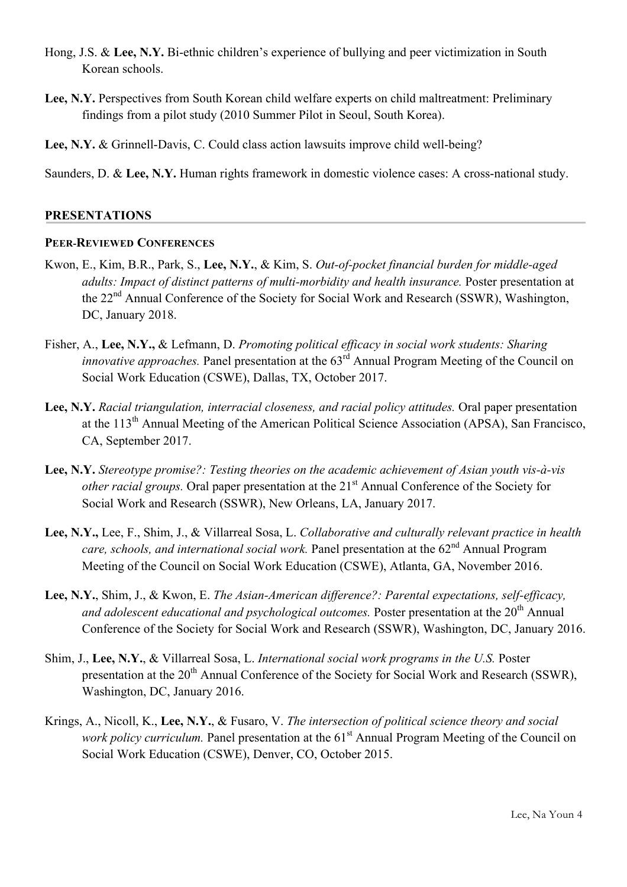- Hong, J.S. & **Lee, N.Y.** Bi-ethnic children's experience of bullying and peer victimization in South Korean schools.
- **Lee, N.Y.** Perspectives from South Korean child welfare experts on child maltreatment: Preliminary findings from a pilot study (2010 Summer Pilot in Seoul, South Korea).
- **Lee, N.Y.** & Grinnell-Davis, C. Could class action lawsuits improve child well-being?

Saunders, D. & **Lee, N.Y.** Human rights framework in domestic violence cases: A cross-national study.

#### **PRESENTATIONS**

#### **PEER-REVIEWED CONFERENCES**

- Kwon, E., Kim, B.R., Park, S., **Lee, N.Y.**, & Kim, S. *Out-of-pocket financial burden for middle-aged adults: Impact of distinct patterns of multi-morbidity and health insurance.* Poster presentation at the 22<sup>nd</sup> Annual Conference of the Society for Social Work and Research (SSWR), Washington, DC, January 2018.
- Fisher, A., **Lee, N.Y.,** & Lefmann, D. *Promoting political efficacy in social work students: Sharing innovative approaches.* Panel presentation at the 63<sup>rd</sup> Annual Program Meeting of the Council on Social Work Education (CSWE), Dallas, TX, October 2017.
- **Lee, N.Y.** *Racial triangulation, interracial closeness, and racial policy attitudes.* Oral paper presentation at the 113<sup>th</sup> Annual Meeting of the American Political Science Association (APSA), San Francisco, CA, September 2017.
- **Lee, N.Y.** *Stereotype promise?: Testing theories on the academic achievement of Asian youth vis-à-vis other racial groups.* Oral paper presentation at the 21<sup>st</sup> Annual Conference of the Society for Social Work and Research (SSWR), New Orleans, LA, January 2017.
- **Lee, N.Y.,** Lee, F., Shim, J., & Villarreal Sosa, L. *Collaborative and culturally relevant practice in health care, schools, and international social work.* Panel presentation at the 62<sup>nd</sup> Annual Program Meeting of the Council on Social Work Education (CSWE), Atlanta, GA, November 2016.
- **Lee, N.Y.**, Shim, J., & Kwon, E. *The Asian-American difference?: Parental expectations, self-efficacy, and adolescent educational and psychological outcomes.* Poster presentation at the 20<sup>th</sup> Annual Conference of the Society for Social Work and Research (SSWR), Washington, DC, January 2016.
- Shim, J., **Lee, N.Y.**, & Villarreal Sosa, L. *International social work programs in the U.S.* Poster presentation at the 20<sup>th</sup> Annual Conference of the Society for Social Work and Research (SSWR), Washington, DC, January 2016.
- Krings, A., Nicoll, K., **Lee, N.Y.**, & Fusaro, V. *The intersection of political science theory and social work policy curriculum.* Panel presentation at the 61<sup>st</sup> Annual Program Meeting of the Council on Social Work Education (CSWE), Denver, CO, October 2015.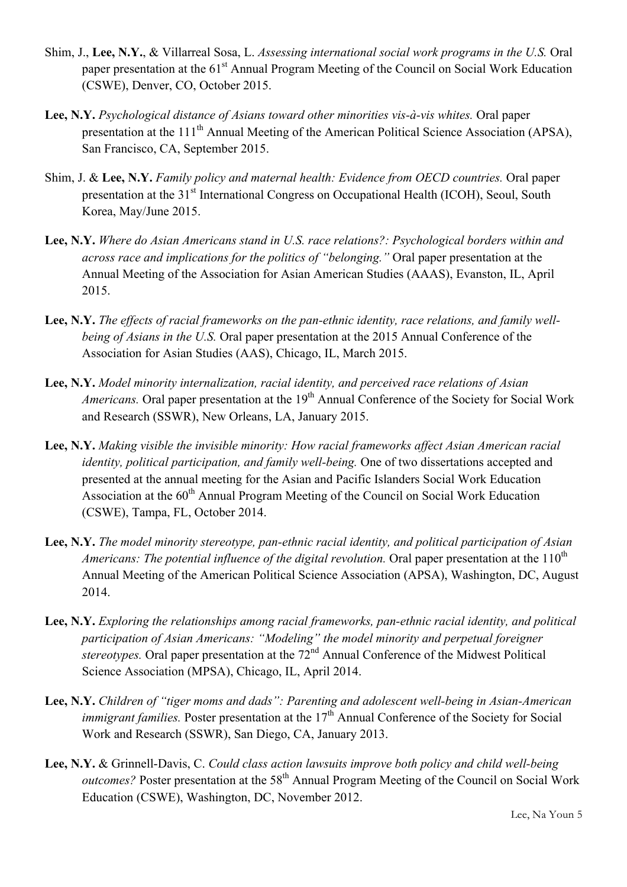- Shim, J., **Lee, N.Y.**, & Villarreal Sosa, L. *Assessing international social work programs in the U.S.* Oral paper presentation at the 61<sup>st</sup> Annual Program Meeting of the Council on Social Work Education (CSWE), Denver, CO, October 2015.
- **Lee, N.Y.** *Psychological distance of Asians toward other minorities vis-à-vis whites.* Oral paper presentation at the 111<sup>th</sup> Annual Meeting of the American Political Science Association (APSA), San Francisco, CA, September 2015.
- Shim, J. & **Lee, N.Y.** *Family policy and maternal health: Evidence from OECD countries.* Oral paper presentation at the 31<sup>st</sup> International Congress on Occupational Health (ICOH), Seoul, South Korea, May/June 2015.
- **Lee, N.Y.** *Where do Asian Americans stand in U.S. race relations?: Psychological borders within and across race and implications for the politics of "belonging."* Oral paper presentation at the Annual Meeting of the Association for Asian American Studies (AAAS), Evanston, IL, April 2015.
- **Lee, N.Y.** *The effects of racial frameworks on the pan-ethnic identity, race relations, and family wellbeing of Asians in the U.S.* Oral paper presentation at the 2015 Annual Conference of the Association for Asian Studies (AAS), Chicago, IL, March 2015.
- **Lee, N.Y.** *Model minority internalization, racial identity, and perceived race relations of Asian Americans.* Oral paper presentation at the 19<sup>th</sup> Annual Conference of the Society for Social Work and Research (SSWR), New Orleans, LA, January 2015.
- **Lee, N.Y.** *Making visible the invisible minority: How racial frameworks affect Asian American racial identity, political participation, and family well-being.* One of two dissertations accepted and presented at the annual meeting for the Asian and Pacific Islanders Social Work Education Association at the 60<sup>th</sup> Annual Program Meeting of the Council on Social Work Education (CSWE), Tampa, FL, October 2014.
- **Lee, N.Y.** *The model minority stereotype, pan-ethnic racial identity, and political participation of Asian Americans: The potential influence of the digital revolution.* Oral paper presentation at the 110<sup>th</sup> Annual Meeting of the American Political Science Association (APSA), Washington, DC, August 2014.
- **Lee, N.Y.** *Exploring the relationships among racial frameworks, pan-ethnic racial identity, and political participation of Asian Americans: "Modeling" the model minority and perpetual foreigner stereotypes.* Oral paper presentation at the 72<sup>nd</sup> Annual Conference of the Midwest Political Science Association (MPSA), Chicago, IL, April 2014.
- **Lee, N.Y.** *Children of "tiger moms and dads": Parenting and adolescent well-being in Asian-American immigrant families.* Poster presentation at the 17<sup>th</sup> Annual Conference of the Society for Social Work and Research (SSWR), San Diego, CA, January 2013.
- **Lee, N.Y.** & Grinnell-Davis, C. *Could class action lawsuits improve both policy and child well-being outcomes*? Poster presentation at the 58<sup>th</sup> Annual Program Meeting of the Council on Social Work Education (CSWE), Washington, DC, November 2012.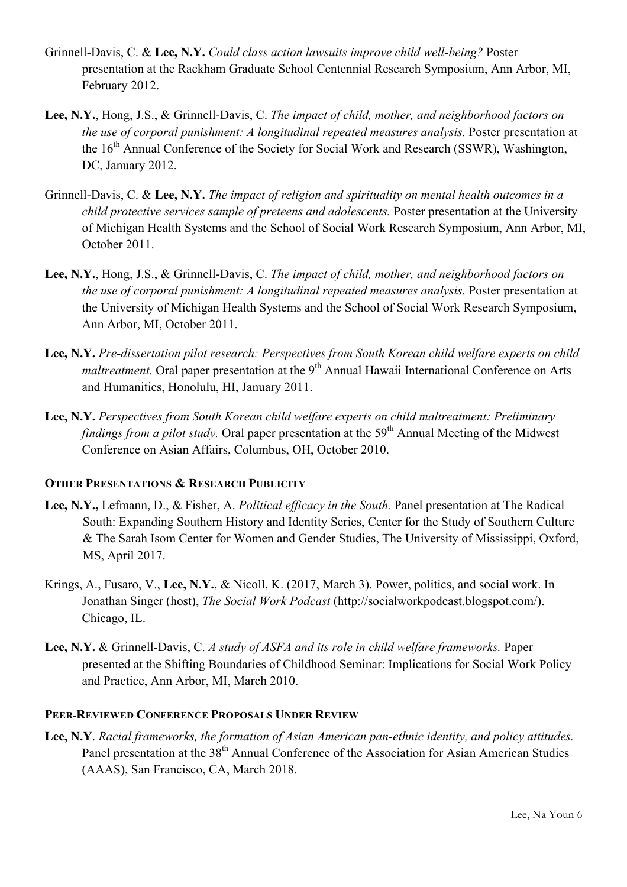- Grinnell-Davis, C. & **Lee, N.Y.** *Could class action lawsuits improve child well-being?* Poster presentation at the Rackham Graduate School Centennial Research Symposium, Ann Arbor, MI, February 2012.
- **Lee, N.Y.**, Hong, J.S., & Grinnell-Davis, C. *The impact of child, mother, and neighborhood factors on the use of corporal punishment: A longitudinal repeated measures analysis.* Poster presentation at the 16<sup>th</sup> Annual Conference of the Society for Social Work and Research (SSWR), Washington, DC, January 2012.
- Grinnell-Davis, C. & **Lee, N.Y.** *The impact of religion and spirituality on mental health outcomes in a child protective services sample of preteens and adolescents.* Poster presentation at the University of Michigan Health Systems and the School of Social Work Research Symposium, Ann Arbor, MI, October 2011.
- **Lee, N.Y.**, Hong, J.S., & Grinnell-Davis, C. *The impact of child, mother, and neighborhood factors on the use of corporal punishment: A longitudinal repeated measures analysis.* Poster presentation at the University of Michigan Health Systems and the School of Social Work Research Symposium, Ann Arbor, MI, October 2011.
- **Lee, N.Y.** *Pre-dissertation pilot research: Perspectives from South Korean child welfare experts on child maltreatment*. Oral paper presentation at the 9<sup>th</sup> Annual Hawaii International Conference on Arts and Humanities, Honolulu, HI, January 2011.
- **Lee, N.Y.** *Perspectives from South Korean child welfare experts on child maltreatment: Preliminary findings from a pilot study.* Oral paper presentation at the 59<sup>th</sup> Annual Meeting of the Midwest Conference on Asian Affairs, Columbus, OH, October 2010.

# **OTHER PRESENTATIONS & RESEARCH PUBLICITY**

- **Lee, N.Y.,** Lefmann, D., & Fisher, A. *Political efficacy in the South.* Panel presentation at The Radical South: Expanding Southern History and Identity Series, Center for the Study of Southern Culture & The Sarah Isom Center for Women and Gender Studies, The University of Mississippi, Oxford, MS, April 2017.
- Krings, A., Fusaro, V., **Lee, N.Y.**, & Nicoll, K. (2017, March 3). Power, politics, and social work. In Jonathan Singer (host), *The Social Work Podcast* (http://socialworkpodcast.blogspot.com/). Chicago, IL.
- **Lee, N.Y.** & Grinnell-Davis, C. *A study of ASFA and its role in child welfare frameworks.* Paper presented at the Shifting Boundaries of Childhood Seminar: Implications for Social Work Policy and Practice, Ann Arbor, MI, March 2010.

# **PEER-REVIEWED CONFERENCE PROPOSALS UNDER REVIEW**

**Lee, N.Y**. *Racial frameworks, the formation of Asian American pan-ethnic identity, and policy attitudes.*  Panel presentation at the 38<sup>th</sup> Annual Conference of the Association for Asian American Studies (AAAS), San Francisco, CA, March 2018.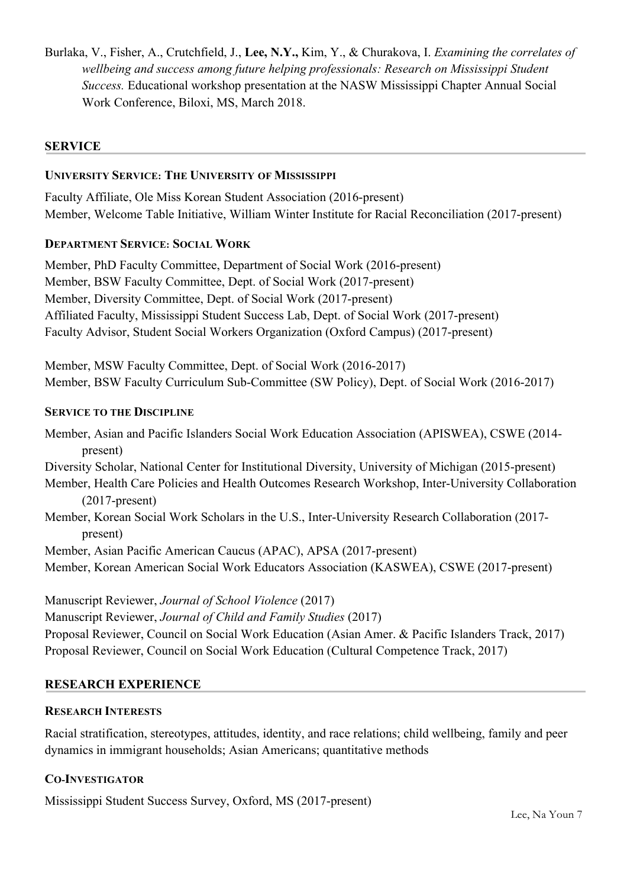Burlaka, V., Fisher, A., Crutchfield, J., **Lee, N.Y.,** Kim, Y., & Churakova, I. *Examining the correlates of wellbeing and success among future helping professionals: Research on Mississippi Student Success.* Educational workshop presentation at the NASW Mississippi Chapter Annual Social Work Conference, Biloxi, MS, March 2018.

### **SERVICE**

### **UNIVERSITY SERVICE: THE UNIVERSITY OF MISSISSIPPI**

Faculty Affiliate, Ole Miss Korean Student Association (2016-present) Member, Welcome Table Initiative, William Winter Institute for Racial Reconciliation (2017-present)

### **DEPARTMENT SERVICE: SOCIAL WORK**

Member, PhD Faculty Committee, Department of Social Work (2016-present) Member, BSW Faculty Committee, Dept. of Social Work (2017-present) Member, Diversity Committee, Dept. of Social Work (2017-present) Affiliated Faculty, Mississippi Student Success Lab, Dept. of Social Work (2017-present) Faculty Advisor, Student Social Workers Organization (Oxford Campus) (2017-present)

Member, MSW Faculty Committee, Dept. of Social Work (2016-2017) Member, BSW Faculty Curriculum Sub-Committee (SW Policy), Dept. of Social Work (2016-2017)

#### **SERVICE TO THE DISCIPLINE**

Member, Asian and Pacific Islanders Social Work Education Association (APISWEA), CSWE (2014 present) Diversity Scholar, National Center for Institutional Diversity, University of Michigan (2015-present) Member, Health Care Policies and Health Outcomes Research Workshop, Inter-University Collaboration (2017-present) Member, Korean Social Work Scholars in the U.S., Inter-University Research Collaboration (2017 present) Member, Asian Pacific American Caucus (APAC), APSA (2017-present) Member, Korean American Social Work Educators Association (KASWEA), CSWE (2017-present)

Manuscript Reviewer, *Journal of School Violence* (2017) Manuscript Reviewer, *Journal of Child and Family Studies* (2017) Proposal Reviewer, Council on Social Work Education (Asian Amer. & Pacific Islanders Track, 2017) Proposal Reviewer, Council on Social Work Education (Cultural Competence Track, 2017)

#### **RESEARCH EXPERIENCE**

#### **RESEARCH INTERESTS**

Racial stratification, stereotypes, attitudes, identity, and race relations; child wellbeing, family and peer dynamics in immigrant households; Asian Americans; quantitative methods

#### **CO-INVESTIGATOR**

Mississippi Student Success Survey, Oxford, MS (2017-present)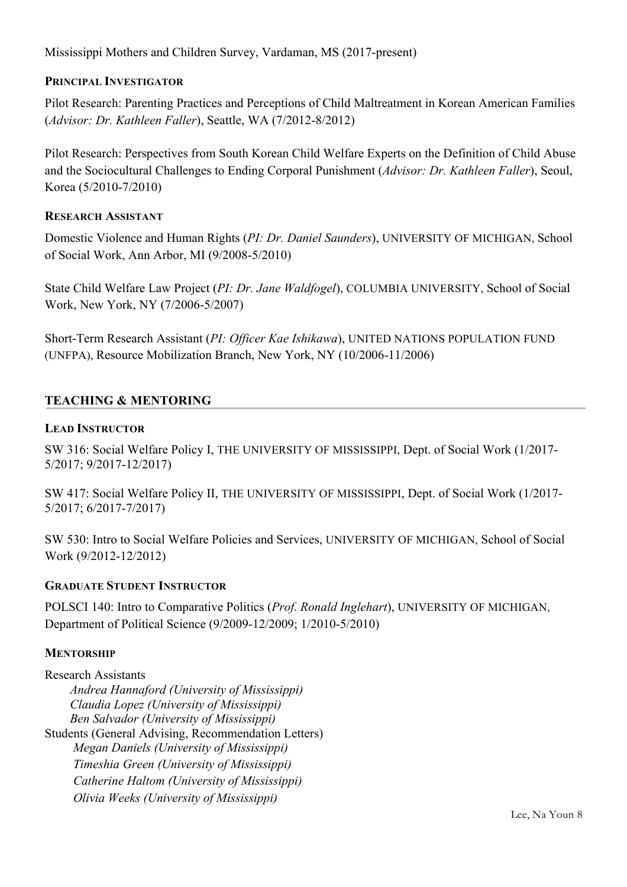Mississippi Mothers and Children Survey, Vardaman, MS (2017-present)

### **PRINCIPAL INVESTIGATOR**

Pilot Research: Parenting Practices and Perceptions of Child Maltreatment in Korean American Families (*Advisor: Dr. Kathleen Faller*), Seattle, WA (7/2012-8/2012)

Pilot Research: Perspectives from South Korean Child Welfare Experts on the Definition of Child Abuse and the Sociocultural Challenges to Ending Corporal Punishment (*Advisor: Dr. Kathleen Faller*), Seoul, Korea (5/2010-7/2010)

### **RESEARCH ASSISTANT**

Domestic Violence and Human Rights (*PI: Dr. Daniel Saunders*), UNIVERSITY OF MICHIGAN, School of Social Work, Ann Arbor, MI (9/2008-5/2010)

State Child Welfare Law Project (*PI: Dr. Jane Waldfogel*), COLUMBIA UNIVERSITY, School of Social Work, New York, NY (7/2006-5/2007)

Short-Term Research Assistant (*PI: Officer Kae Ishikawa*), UNITED NATIONS POPULATION FUND (UNFPA), Resource Mobilization Branch, New York, NY (10/2006-11/2006)

# **TEACHING & MENTORING**

### **LEAD INSTRUCTOR**

SW 316: Social Welfare Policy I, THE UNIVERSITY OF MISSISSIPPI, Dept. of Social Work (1/2017- 5/2017; 9/2017-12/2017)

SW 417: Social Welfare Policy II, THE UNIVERSITY OF MISSISSIPPI, Dept. of Social Work (1/2017- 5/2017; 6/2017-7/2017)

SW 530: Intro to Social Welfare Policies and Services, UNIVERSITY OF MICHIGAN, School of Social Work (9/2012-12/2012)

# **GRADUATE STUDENT INSTRUCTOR**

POLSCI 140: Intro to Comparative Politics (*Prof. Ronald Inglehart*), UNIVERSITY OF MICHIGAN, Department of Political Science (9/2009-12/2009; 1/2010-5/2010)

#### **MENTORSHIP**

Research Assistants  *Andrea Hannaford (University of Mississippi) Claudia Lopez (University of Mississippi) Ben Salvador (University of Mississippi)*  Students (General Advising, Recommendation Letters) *Megan Daniels (University of Mississippi) Timeshia Green (University of Mississippi) Catherine Haltom (University of Mississippi) Olivia Weeks (University of Mississippi)*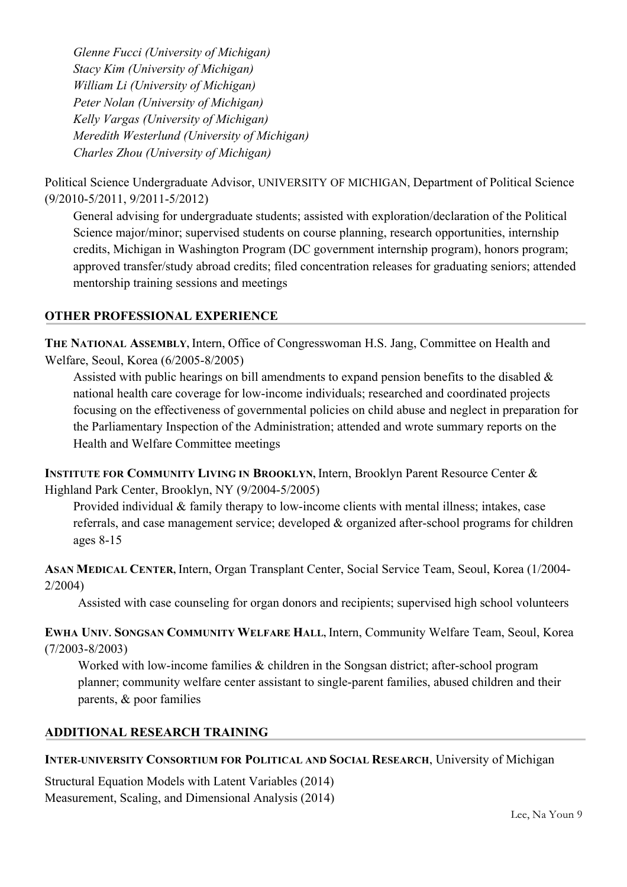*Glenne Fucci (University of Michigan) Stacy Kim (University of Michigan) William Li (University of Michigan) Peter Nolan (University of Michigan) Kelly Vargas (University of Michigan) Meredith Westerlund (University of Michigan) Charles Zhou (University of Michigan)*

Political Science Undergraduate Advisor, UNIVERSITY OF MICHIGAN, Department of Political Science (9/2010-5/2011, 9/2011-5/2012)

General advising for undergraduate students; assisted with exploration/declaration of the Political Science major/minor; supervised students on course planning, research opportunities, internship credits, Michigan in Washington Program (DC government internship program), honors program; approved transfer/study abroad credits; filed concentration releases for graduating seniors; attended mentorship training sessions and meetings

# **OTHER PROFESSIONAL EXPERIENCE**

**THE NATIONAL ASSEMBLY,** Intern, Office of Congresswoman H.S. Jang, Committee on Health and Welfare, Seoul, Korea (6/2005-8/2005)

Assisted with public hearings on bill amendments to expand pension benefits to the disabled  $\&$ national health care coverage for low-income individuals; researched and coordinated projects focusing on the effectiveness of governmental policies on child abuse and neglect in preparation for the Parliamentary Inspection of the Administration; attended and wrote summary reports on the Health and Welfare Committee meetings

**INSTITUTE FOR COMMUNITY LIVING IN BROOKLYN,** Intern, Brooklyn Parent Resource Center & Highland Park Center, Brooklyn, NY (9/2004-5/2005)

Provided individual & family therapy to low-income clients with mental illness; intakes, case referrals, and case management service; developed & organized after-school programs for children ages 8-15

**ASAN MEDICAL CENTER,** Intern, Organ Transplant Center, Social Service Team, Seoul, Korea (1/2004- 2/2004)

Assisted with case counseling for organ donors and recipients; supervised high school volunteers

**EWHA UNIV. SONGSAN COMMUNITY WELFARE HALL,** Intern, Community Welfare Team, Seoul, Korea (7/2003-8/2003)

Worked with low-income families & children in the Songsan district; after-school program planner; community welfare center assistant to single-parent families, abused children and their parents, & poor families

#### **ADDITIONAL RESEARCH TRAINING**

#### **INTER-UNIVERSITY CONSORTIUM FOR POLITICAL AND SOCIAL RESEARCH**, University of Michigan

Structural Equation Models with Latent Variables (2014) Measurement, Scaling, and Dimensional Analysis (2014)